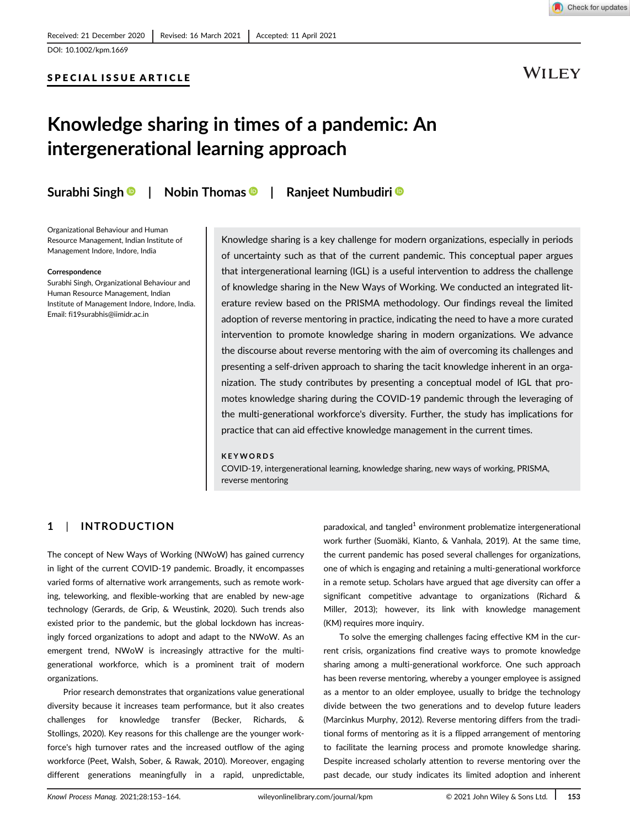

DOI: 10.1002/kpm.1669

## SPECIAL ISSUE ARTICLE



## Knowledge sharing in times of a pandemic: An intergenerational learning approach

Surabhi Singh <sup>®</sup> | Nobin Thomas <sup>®</sup> | Ranieet Numbudiri <sup>®</sup>

Organizational Behaviour and Human Resource Management, Indian Institute of Management Indore, Indore, India

#### Correspondence

Surabhi Singh, Organizational Behaviour and Human Resource Management, Indian Institute of Management Indore, Indore, India. Email: fi19surabhis@iimidr.ac.in

Knowledge sharing is a key challenge for modern organizations, especially in periods of uncertainty such as that of the current pandemic. This conceptual paper argues that intergenerational learning (IGL) is a useful intervention to address the challenge of knowledge sharing in the New Ways of Working. We conducted an integrated literature review based on the PRISMA methodology. Our findings reveal the limited adoption of reverse mentoring in practice, indicating the need to have a more curated intervention to promote knowledge sharing in modern organizations. We advance the discourse about reverse mentoring with the aim of overcoming its challenges and presenting a self-driven approach to sharing the tacit knowledge inherent in an organization. The study contributes by presenting a conceptual model of IGL that promotes knowledge sharing during the COVID-19 pandemic through the leveraging of the multi-generational workforce's diversity. Further, the study has implications for practice that can aid effective knowledge management in the current times.

#### KEYWORDS

COVID-19, intergenerational learning, knowledge sharing, new ways of working, PRISMA, reverse mentoring

## 1 | INTRODUCTION

The concept of New Ways of Working (NWoW) has gained currency in light of the current COVID-19 pandemic. Broadly, it encompasses varied forms of alternative work arrangements, such as remote working, teleworking, and flexible-working that are enabled by new-age technology (Gerards, de Grip, & Weustink, 2020). Such trends also existed prior to the pandemic, but the global lockdown has increasingly forced organizations to adopt and adapt to the NWoW. As an emergent trend, NWoW is increasingly attractive for the multigenerational workforce, which is a prominent trait of modern organizations.

Prior research demonstrates that organizations value generational diversity because it increases team performance, but it also creates challenges for knowledge transfer (Becker, Richards, & Stollings, 2020). Key reasons for this challenge are the younger workforce's high turnover rates and the increased outflow of the aging workforce (Peet, Walsh, Sober, & Rawak, 2010). Moreover, engaging different generations meaningfully in a rapid, unpredictable,

paradoxical, and tangled<sup>1</sup> environment problematize intergenerational work further (Suomäki, Kianto, & Vanhala, 2019). At the same time, the current pandemic has posed several challenges for organizations, one of which is engaging and retaining a multi-generational workforce in a remote setup. Scholars have argued that age diversity can offer a significant competitive advantage to organizations (Richard & Miller, 2013); however, its link with knowledge management (KM) requires more inquiry.

To solve the emerging challenges facing effective KM in the current crisis, organizations find creative ways to promote knowledge sharing among a multi-generational workforce. One such approach has been reverse mentoring, whereby a younger employee is assigned as a mentor to an older employee, usually to bridge the technology divide between the two generations and to develop future leaders (Marcinkus Murphy, 2012). Reverse mentoring differs from the traditional forms of mentoring as it is a flipped arrangement of mentoring to facilitate the learning process and promote knowledge sharing. Despite increased scholarly attention to reverse mentoring over the past decade, our study indicates its limited adoption and inherent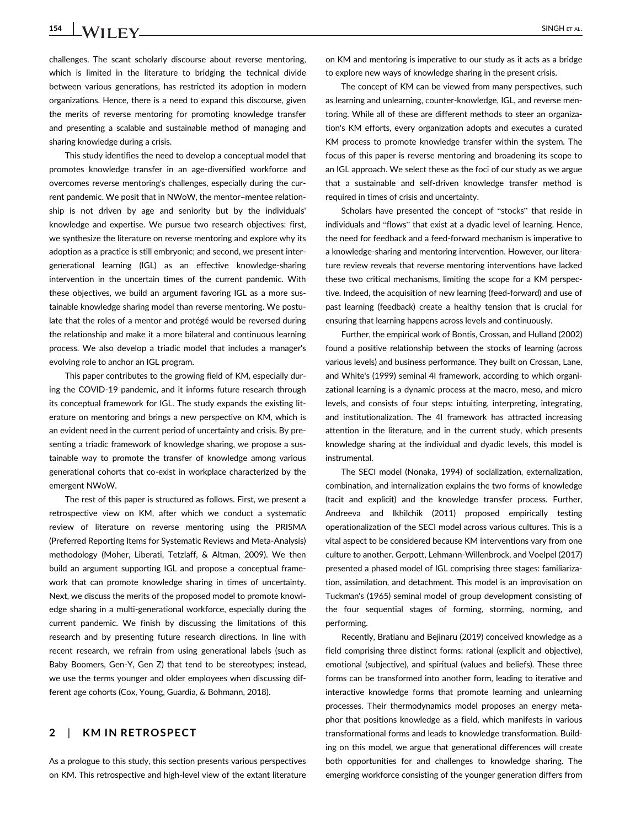## 154 **LWII FY** SINGH ET AL.

challenges. The scant scholarly discourse about reverse mentoring, which is limited in the literature to bridging the technical divide between various generations, has restricted its adoption in modern organizations. Hence, there is a need to expand this discourse, given the merits of reverse mentoring for promoting knowledge transfer and presenting a scalable and sustainable method of managing and sharing knowledge during a crisis.

This study identifies the need to develop a conceptual model that promotes knowledge transfer in an age-diversified workforce and overcomes reverse mentoring's challenges, especially during the current pandemic. We posit that in NWoW, the mentor–mentee relationship is not driven by age and seniority but by the individuals' knowledge and expertise. We pursue two research objectives: first, we synthesize the literature on reverse mentoring and explore why its adoption as a practice is still embryonic; and second, we present intergenerational learning (IGL) as an effective knowledge-sharing intervention in the uncertain times of the current pandemic. With these objectives, we build an argument favoring IGL as a more sustainable knowledge sharing model than reverse mentoring. We postulate that the roles of a mentor and protégé would be reversed during the relationship and make it a more bilateral and continuous learning process. We also develop a triadic model that includes a manager's evolving role to anchor an IGL program.

This paper contributes to the growing field of KM, especially during the COVID-19 pandemic, and it informs future research through its conceptual framework for IGL. The study expands the existing literature on mentoring and brings a new perspective on KM, which is an evident need in the current period of uncertainty and crisis. By presenting a triadic framework of knowledge sharing, we propose a sustainable way to promote the transfer of knowledge among various generational cohorts that co-exist in workplace characterized by the emergent NWoW.

The rest of this paper is structured as follows. First, we present a retrospective view on KM, after which we conduct a systematic review of literature on reverse mentoring using the PRISMA (Preferred Reporting Items for Systematic Reviews and Meta-Analysis) methodology (Moher, Liberati, Tetzlaff, & Altman, 2009). We then build an argument supporting IGL and propose a conceptual framework that can promote knowledge sharing in times of uncertainty. Next, we discuss the merits of the proposed model to promote knowledge sharing in a multi-generational workforce, especially during the current pandemic. We finish by discussing the limitations of this research and by presenting future research directions. In line with recent research, we refrain from using generational labels (such as Baby Boomers, Gen-Y, Gen Z) that tend to be stereotypes; instead, we use the terms younger and older employees when discussing different age cohorts (Cox, Young, Guardia, & Bohmann, 2018).

## 2 | KM IN RETROSPECT

As a prologue to this study, this section presents various perspectives on KM. This retrospective and high-level view of the extant literature on KM and mentoring is imperative to our study as it acts as a bridge to explore new ways of knowledge sharing in the present crisis.

The concept of KM can be viewed from many perspectives, such as learning and unlearning, counter-knowledge, IGL, and reverse mentoring. While all of these are different methods to steer an organization's KM efforts, every organization adopts and executes a curated KM process to promote knowledge transfer within the system. The focus of this paper is reverse mentoring and broadening its scope to an IGL approach. We select these as the foci of our study as we argue that a sustainable and self-driven knowledge transfer method is required in times of crisis and uncertainty.

Scholars have presented the concept of "stocks" that reside in individuals and "flows" that exist at a dyadic level of learning. Hence, the need for feedback and a feed-forward mechanism is imperative to a knowledge-sharing and mentoring intervention. However, our literature review reveals that reverse mentoring interventions have lacked these two critical mechanisms, limiting the scope for a KM perspective. Indeed, the acquisition of new learning (feed-forward) and use of past learning (feedback) create a healthy tension that is crucial for ensuring that learning happens across levels and continuously.

Further, the empirical work of Bontis, Crossan, and Hulland (2002) found a positive relationship between the stocks of learning (across various levels) and business performance. They built on Crossan, Lane, and White's (1999) seminal 4I framework, according to which organizational learning is a dynamic process at the macro, meso, and micro levels, and consists of four steps: intuiting, interpreting, integrating, and institutionalization. The 4I framework has attracted increasing attention in the literature, and in the current study, which presents knowledge sharing at the individual and dyadic levels, this model is instrumental.

The SECI model (Nonaka, 1994) of socialization, externalization, combination, and internalization explains the two forms of knowledge (tacit and explicit) and the knowledge transfer process. Further, Andreeva and Ikhilchik (2011) proposed empirically testing operationalization of the SECI model across various cultures. This is a vital aspect to be considered because KM interventions vary from one culture to another. Gerpott, Lehmann-Willenbrock, and Voelpel (2017) presented a phased model of IGL comprising three stages: familiarization, assimilation, and detachment. This model is an improvisation on Tuckman's (1965) seminal model of group development consisting of the four sequential stages of forming, storming, norming, and performing.

Recently, Bratianu and Bejinaru (2019) conceived knowledge as a field comprising three distinct forms: rational (explicit and objective), emotional (subjective), and spiritual (values and beliefs). These three forms can be transformed into another form, leading to iterative and interactive knowledge forms that promote learning and unlearning processes. Their thermodynamics model proposes an energy metaphor that positions knowledge as a field, which manifests in various transformational forms and leads to knowledge transformation. Building on this model, we argue that generational differences will create both opportunities for and challenges to knowledge sharing. The emerging workforce consisting of the younger generation differs from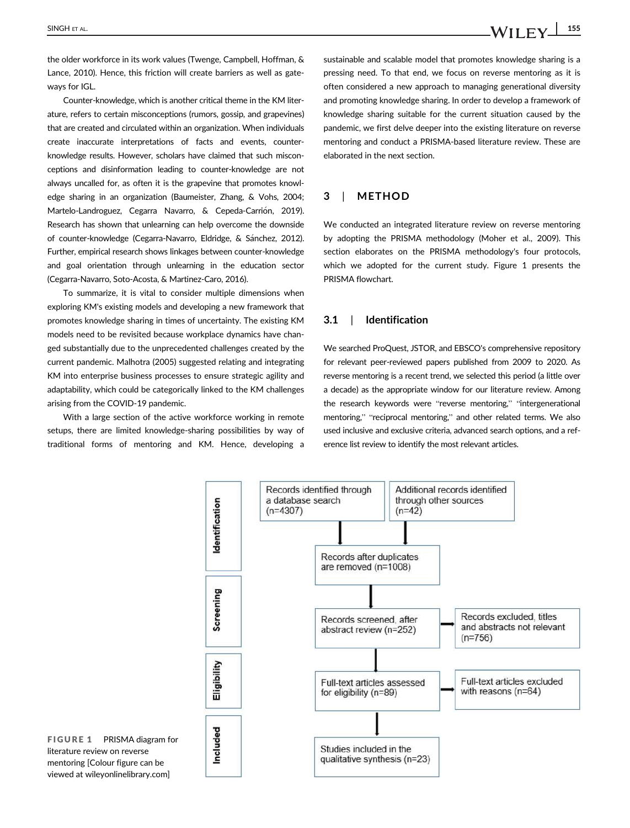the older workforce in its work values (Twenge, Campbell, Hoffman, & Lance, 2010). Hence, this friction will create barriers as well as gateways for IGL.

Counter-knowledge, which is another critical theme in the KM literature, refers to certain misconceptions (rumors, gossip, and grapevines) that are created and circulated within an organization. When individuals create inaccurate interpretations of facts and events, counterknowledge results. However, scholars have claimed that such misconceptions and disinformation leading to counter-knowledge are not always uncalled for, as often it is the grapevine that promotes knowledge sharing in an organization (Baumeister, Zhang, & Vohs, 2004; Martelo-Landroguez, Cegarra Navarro, & Cepeda-Carrión, 2019). Research has shown that unlearning can help overcome the downside of counter-knowledge (Cegarra-Navarro, Eldridge, & Sánchez, 2012). Further, empirical research shows linkages between counter-knowledge and goal orientation through unlearning in the education sector (Cegarra-Navarro, Soto-Acosta, & Martinez-Caro, 2016).

To summarize, it is vital to consider multiple dimensions when exploring KM's existing models and developing a new framework that promotes knowledge sharing in times of uncertainty. The existing KM models need to be revisited because workplace dynamics have changed substantially due to the unprecedented challenges created by the current pandemic. Malhotra (2005) suggested relating and integrating KM into enterprise business processes to ensure strategic agility and adaptability, which could be categorically linked to the KM challenges arising from the COVID-19 pandemic.

With a large section of the active workforce working in remote setups, there are limited knowledge-sharing possibilities by way of traditional forms of mentoring and KM. Hence, developing a sustainable and scalable model that promotes knowledge sharing is a pressing need. To that end, we focus on reverse mentoring as it is often considered a new approach to managing generational diversity and promoting knowledge sharing. In order to develop a framework of knowledge sharing suitable for the current situation caused by the pandemic, we first delve deeper into the existing literature on reverse mentoring and conduct a PRISMA-based literature review. These are elaborated in the next section.

## 3 | METHOD

We conducted an integrated literature review on reverse mentoring by adopting the PRISMA methodology (Moher et al., 2009). This section elaborates on the PRISMA methodology's four protocols, which we adopted for the current study. Figure 1 presents the PRISMA flowchart.

#### 3.1 | Identification

We searched ProQuest, JSTOR, and EBSCO's comprehensive repository for relevant peer-reviewed papers published from 2009 to 2020. As reverse mentoring is a recent trend, we selected this period (a little over a decade) as the appropriate window for our literature review. Among the research keywords were "reverse mentoring," "intergenerational mentoring," "reciprocal mentoring," and other related terms. We also used inclusive and exclusive criteria, advanced search options, and a reference list review to identify the most relevant articles.



FIGURE 1 PRISMA diagram for literature review on reverse mentoring [Colour figure can be viewed at wileyonlinelibrary.com]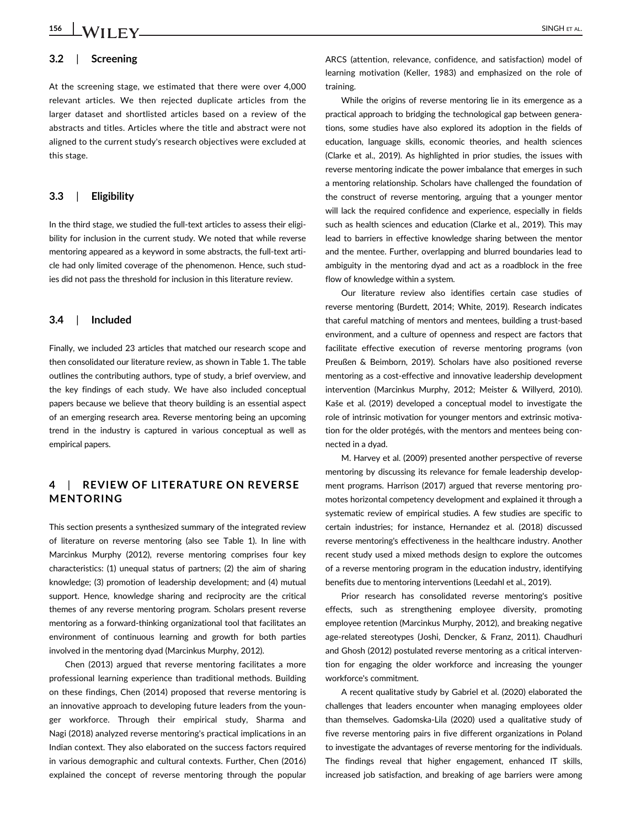# 156 SINGH ET AL.

## 3.2 | Screening

At the screening stage, we estimated that there were over 4,000 relevant articles. We then rejected duplicate articles from the larger dataset and shortlisted articles based on a review of the abstracts and titles. Articles where the title and abstract were not aligned to the current study's research objectives were excluded at this stage.

#### 3.3 | Eligibility

In the third stage, we studied the full-text articles to assess their eligibility for inclusion in the current study. We noted that while reverse mentoring appeared as a keyword in some abstracts, the full-text article had only limited coverage of the phenomenon. Hence, such studies did not pass the threshold for inclusion in this literature review.

#### 3.4 | Included

Finally, we included 23 articles that matched our research scope and then consolidated our literature review, as shown in Table 1. The table outlines the contributing authors, type of study, a brief overview, and the key findings of each study. We have also included conceptual papers because we believe that theory building is an essential aspect of an emerging research area. Reverse mentoring being an upcoming trend in the industry is captured in various conceptual as well as empirical papers.

## 4 | REVIEW OF LITERATURE ON REVERSE MENTORING

This section presents a synthesized summary of the integrated review of literature on reverse mentoring (also see Table 1). In line with Marcinkus Murphy (2012), reverse mentoring comprises four key characteristics: (1) unequal status of partners; (2) the aim of sharing knowledge; (3) promotion of leadership development; and (4) mutual support. Hence, knowledge sharing and reciprocity are the critical themes of any reverse mentoring program. Scholars present reverse mentoring as a forward-thinking organizational tool that facilitates an environment of continuous learning and growth for both parties involved in the mentoring dyad (Marcinkus Murphy, 2012).

Chen (2013) argued that reverse mentoring facilitates a more professional learning experience than traditional methods. Building on these findings, Chen (2014) proposed that reverse mentoring is an innovative approach to developing future leaders from the younger workforce. Through their empirical study, Sharma and Nagi (2018) analyzed reverse mentoring's practical implications in an Indian context. They also elaborated on the success factors required in various demographic and cultural contexts. Further, Chen (2016) explained the concept of reverse mentoring through the popular ARCS (attention, relevance, confidence, and satisfaction) model of learning motivation (Keller, 1983) and emphasized on the role of training.

While the origins of reverse mentoring lie in its emergence as a practical approach to bridging the technological gap between generations, some studies have also explored its adoption in the fields of education, language skills, economic theories, and health sciences (Clarke et al., 2019). As highlighted in prior studies, the issues with reverse mentoring indicate the power imbalance that emerges in such a mentoring relationship. Scholars have challenged the foundation of the construct of reverse mentoring, arguing that a younger mentor will lack the required confidence and experience, especially in fields such as health sciences and education (Clarke et al., 2019). This may lead to barriers in effective knowledge sharing between the mentor and the mentee. Further, overlapping and blurred boundaries lead to ambiguity in the mentoring dyad and act as a roadblock in the free flow of knowledge within a system.

Our literature review also identifies certain case studies of reverse mentoring (Burdett, 2014; White, 2019). Research indicates that careful matching of mentors and mentees, building a trust-based environment, and a culture of openness and respect are factors that facilitate effective execution of reverse mentoring programs (von Preußen & Beimborn, 2019). Scholars have also positioned reverse mentoring as a cost-effective and innovative leadership development intervention (Marcinkus Murphy, 2012; Meister & Willyerd, 2010). Kaše et al. (2019) developed a conceptual model to investigate the role of intrinsic motivation for younger mentors and extrinsic motivation for the older protégés, with the mentors and mentees being connected in a dyad.

M. Harvey et al. (2009) presented another perspective of reverse mentoring by discussing its relevance for female leadership development programs. Harrison (2017) argued that reverse mentoring promotes horizontal competency development and explained it through a systematic review of empirical studies. A few studies are specific to certain industries; for instance, Hernandez et al. (2018) discussed reverse mentoring's effectiveness in the healthcare industry. Another recent study used a mixed methods design to explore the outcomes of a reverse mentoring program in the education industry, identifying benefits due to mentoring interventions (Leedahl et al., 2019).

Prior research has consolidated reverse mentoring's positive effects, such as strengthening employee diversity, promoting employee retention (Marcinkus Murphy, 2012), and breaking negative age-related stereotypes (Joshi, Dencker, & Franz, 2011). Chaudhuri and Ghosh (2012) postulated reverse mentoring as a critical intervention for engaging the older workforce and increasing the younger workforce's commitment.

A recent qualitative study by Gabriel et al. (2020) elaborated the challenges that leaders encounter when managing employees older than themselves. Gadomska-Lila (2020) used a qualitative study of five reverse mentoring pairs in five different organizations in Poland to investigate the advantages of reverse mentoring for the individuals. The findings reveal that higher engagement, enhanced IT skills, increased job satisfaction, and breaking of age barriers were among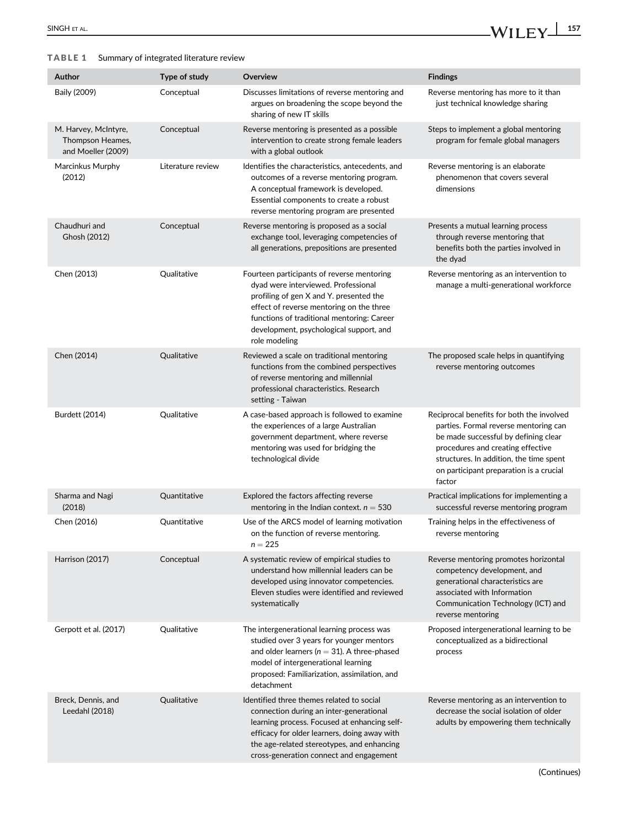### TABLE 1 Summary of integrated literature review

| Author                                                         | Type of study     | Overview                                                                                                                                                                                                                                                                           | <b>Findings</b>                                                                                                                                                                                                                                                 |
|----------------------------------------------------------------|-------------------|------------------------------------------------------------------------------------------------------------------------------------------------------------------------------------------------------------------------------------------------------------------------------------|-----------------------------------------------------------------------------------------------------------------------------------------------------------------------------------------------------------------------------------------------------------------|
| Baily (2009)                                                   | Conceptual        | Discusses limitations of reverse mentoring and<br>argues on broadening the scope beyond the<br>sharing of new IT skills                                                                                                                                                            | Reverse mentoring has more to it than<br>just technical knowledge sharing                                                                                                                                                                                       |
| M. Harvey, McIntyre,<br>Thompson Heames,<br>and Moeller (2009) | Conceptual        | Reverse mentoring is presented as a possible<br>intervention to create strong female leaders<br>with a global outlook                                                                                                                                                              | Steps to implement a global mentoring<br>program for female global managers                                                                                                                                                                                     |
| Marcinkus Murphy<br>(2012)                                     | Literature review | Identifies the characteristics, antecedents, and<br>outcomes of a reverse mentoring program.<br>A conceptual framework is developed.<br>Essential components to create a robust<br>reverse mentoring program are presented                                                         | Reverse mentoring is an elaborate<br>phenomenon that covers several<br>dimensions                                                                                                                                                                               |
| Chaudhuri and<br>Ghosh (2012)                                  | Conceptual        | Reverse mentoring is proposed as a social<br>exchange tool, leveraging competencies of<br>all generations, prepositions are presented                                                                                                                                              | Presents a mutual learning process<br>through reverse mentoring that<br>benefits both the parties involved in<br>the dyad                                                                                                                                       |
| Chen (2013)                                                    | Qualitative       | Fourteen participants of reverse mentoring<br>dyad were interviewed. Professional<br>profiling of gen X and Y. presented the<br>effect of reverse mentoring on the three<br>functions of traditional mentoring: Career<br>development, psychological support, and<br>role modeling | Reverse mentoring as an intervention to<br>manage a multi-generational workforce                                                                                                                                                                                |
| Chen (2014)                                                    | Qualitative       | Reviewed a scale on traditional mentoring<br>functions from the combined perspectives<br>of reverse mentoring and millennial<br>professional characteristics. Research<br>setting - Taiwan                                                                                         | The proposed scale helps in quantifying<br>reverse mentoring outcomes                                                                                                                                                                                           |
| Burdett (2014)                                                 | Qualitative       | A case-based approach is followed to examine<br>the experiences of a large Australian<br>government department, where reverse<br>mentoring was used for bridging the<br>technological divide                                                                                       | Reciprocal benefits for both the involved<br>parties. Formal reverse mentoring can<br>be made successful by defining clear<br>procedures and creating effective<br>structures. In addition, the time spent<br>on participant preparation is a crucial<br>factor |
| Sharma and Nagi<br>(2018)                                      | Quantitative      | Explored the factors affecting reverse<br>mentoring in the Indian context. $n = 530$                                                                                                                                                                                               | Practical implications for implementing a<br>successful reverse mentoring program                                                                                                                                                                               |
| Chen (2016)                                                    | Quantitative      | Use of the ARCS model of learning motivation<br>on the function of reverse mentoring.<br>$n = 225$                                                                                                                                                                                 | Training helps in the effectiveness of<br>reverse mentoring                                                                                                                                                                                                     |
| Harrison (2017)                                                | Conceptual        | A systematic review of empirical studies to<br>understand how millennial leaders can be<br>developed using innovator competencies.<br>Eleven studies were identified and reviewed<br>systematically                                                                                | Reverse mentoring promotes horizontal<br>competency development, and<br>generational characteristics are<br>associated with Information<br>Communication Technology (ICT) and<br>reverse mentoring                                                              |
| Gerpott et al. (2017)                                          | Qualitative       | The intergenerational learning process was<br>studied over 3 years for younger mentors<br>and older learners ( $n = 31$ ). A three-phased<br>model of intergenerational learning<br>proposed: Familiarization, assimilation, and<br>detachment                                     | Proposed intergenerational learning to be<br>conceptualized as a bidirectional<br>process                                                                                                                                                                       |
| Breck, Dennis, and<br>Leedahl (2018)                           | Qualitative       | Identified three themes related to social<br>connection during an inter-generational<br>learning process. Focused at enhancing self-<br>efficacy for older learners, doing away with<br>the age-related stereotypes, and enhancing<br>cross-generation connect and engagement      | Reverse mentoring as an intervention to<br>decrease the social isolation of older<br>adults by empowering them technically                                                                                                                                      |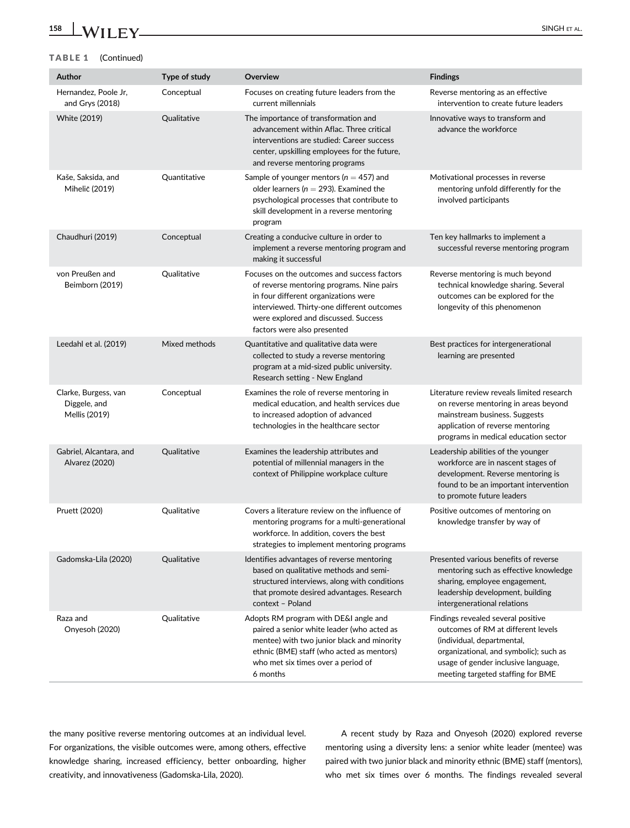### TABLE 1 (Continued)

| Author                                                | Type of study | Overview                                                                                                                                                                                                                                              | <b>Findings</b>                                                                                                                                                                                                              |
|-------------------------------------------------------|---------------|-------------------------------------------------------------------------------------------------------------------------------------------------------------------------------------------------------------------------------------------------------|------------------------------------------------------------------------------------------------------------------------------------------------------------------------------------------------------------------------------|
| Hernandez, Poole Jr,<br>and Grys (2018)               | Conceptual    | Focuses on creating future leaders from the<br>current millennials                                                                                                                                                                                    | Reverse mentoring as an effective<br>intervention to create future leaders                                                                                                                                                   |
| White (2019)                                          | Qualitative   | The importance of transformation and<br>advancement within Aflac. Three critical<br>interventions are studied: Career success<br>center, upskilling employees for the future,<br>and reverse mentoring programs                                       | Innovative ways to transform and<br>advance the workforce                                                                                                                                                                    |
| Kaše, Saksida, and<br>Mihelič (2019)                  | Quantitative  | Sample of younger mentors ( $n = 457$ ) and<br>older learners ( $n = 293$ ). Examined the<br>psychological processes that contribute to<br>skill development in a reverse mentoring<br>program                                                        | Motivational processes in reverse<br>mentoring unfold differently for the<br>involved participants                                                                                                                           |
| Chaudhuri (2019)                                      | Conceptual    | Creating a conducive culture in order to<br>implement a reverse mentoring program and<br>making it successful                                                                                                                                         | Ten key hallmarks to implement a<br>successful reverse mentoring program                                                                                                                                                     |
| von Preußen and<br>Beimborn (2019)                    | Qualitative   | Focuses on the outcomes and success factors<br>of reverse mentoring programs. Nine pairs<br>in four different organizations were<br>interviewed. Thirty-one different outcomes<br>were explored and discussed. Success<br>factors were also presented | Reverse mentoring is much beyond<br>technical knowledge sharing. Several<br>outcomes can be explored for the<br>longevity of this phenomenon                                                                                 |
| Leedahl et al. (2019)                                 | Mixed methods | Quantitative and qualitative data were<br>collected to study a reverse mentoring<br>program at a mid-sized public university.<br>Research setting - New England                                                                                       | Best practices for intergenerational<br>learning are presented                                                                                                                                                               |
| Clarke, Burgess, van<br>Diggele, and<br>Mellis (2019) | Conceptual    | Examines the role of reverse mentoring in<br>medical education, and health services due<br>to increased adoption of advanced<br>technologies in the healthcare sector                                                                                 | Literature review reveals limited research<br>on reverse mentoring in areas beyond<br>mainstream business. Suggests<br>application of reverse mentoring<br>programs in medical education sector                              |
| Gabriel, Alcantara, and<br>Alvarez (2020)             | Qualitative   | Examines the leadership attributes and<br>potential of millennial managers in the<br>context of Philippine workplace culture                                                                                                                          | Leadership abilities of the younger<br>workforce are in nascent stages of<br>development. Reverse mentoring is<br>found to be an important intervention<br>to promote future leaders                                         |
| Pruett (2020)                                         | Qualitative   | Covers a literature review on the influence of<br>mentoring programs for a multi-generational<br>workforce. In addition, covers the best<br>strategies to implement mentoring programs                                                                | Positive outcomes of mentoring on<br>knowledge transfer by way of                                                                                                                                                            |
| Gadomska-Lila (2020)                                  | Qualitative   | Identifies advantages of reverse mentoring<br>based on qualitative methods and semi-<br>structured interviews, along with conditions<br>that promote desired advantages. Research<br>context - Poland                                                 | Presented various benefits of reverse<br>mentoring such as effective knowledge<br>sharing, employee engagement,<br>leadership development, building<br>intergenerational relations                                           |
| Raza and<br>Onyesoh (2020)                            | Qualitative   | Adopts RM program with DE&I angle and<br>paired a senior white leader (who acted as<br>mentee) with two junior black and minority<br>ethnic (BME) staff (who acted as mentors)<br>who met six times over a period of<br>6 months                      | Findings revealed several positive<br>outcomes of RM at different levels<br>(individual, departmental,<br>organizational, and symbolic); such as<br>usage of gender inclusive language,<br>meeting targeted staffing for BME |

the many positive reverse mentoring outcomes at an individual level. For organizations, the visible outcomes were, among others, effective knowledge sharing, increased efficiency, better onboarding, higher creativity, and innovativeness (Gadomska-Lila, 2020).

A recent study by Raza and Onyesoh (2020) explored reverse mentoring using a diversity lens: a senior white leader (mentee) was paired with two junior black and minority ethnic (BME) staff (mentors), who met six times over 6 months. The findings revealed several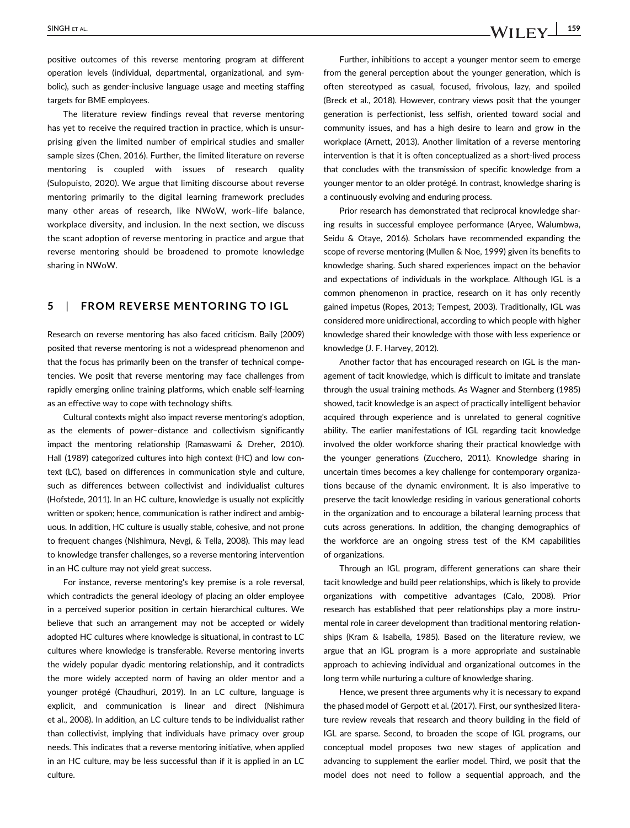positive outcomes of this reverse mentoring program at different operation levels (individual, departmental, organizational, and symbolic), such as gender-inclusive language usage and meeting staffing targets for BME employees.

The literature review findings reveal that reverse mentoring has yet to receive the required traction in practice, which is unsurprising given the limited number of empirical studies and smaller sample sizes (Chen, 2016). Further, the limited literature on reverse mentoring is coupled with issues of research quality (Sulopuisto, 2020). We argue that limiting discourse about reverse mentoring primarily to the digital learning framework precludes many other areas of research, like NWoW, work–life balance, workplace diversity, and inclusion. In the next section, we discuss the scant adoption of reverse mentoring in practice and argue that reverse mentoring should be broadened to promote knowledge sharing in NWoW.

### 5 | FROM REVERSE MENTORING TO IGL

Research on reverse mentoring has also faced criticism. Baily (2009) posited that reverse mentoring is not a widespread phenomenon and that the focus has primarily been on the transfer of technical competencies. We posit that reverse mentoring may face challenges from rapidly emerging online training platforms, which enable self-learning as an effective way to cope with technology shifts.

Cultural contexts might also impact reverse mentoring's adoption, as the elements of power–distance and collectivism significantly impact the mentoring relationship (Ramaswami & Dreher, 2010). Hall (1989) categorized cultures into high context (HC) and low context (LC), based on differences in communication style and culture, such as differences between collectivist and individualist cultures (Hofstede, 2011). In an HC culture, knowledge is usually not explicitly written or spoken; hence, communication is rather indirect and ambiguous. In addition, HC culture is usually stable, cohesive, and not prone to frequent changes (Nishimura, Nevgi, & Tella, 2008). This may lead to knowledge transfer challenges, so a reverse mentoring intervention in an HC culture may not yield great success.

For instance, reverse mentoring's key premise is a role reversal, which contradicts the general ideology of placing an older employee in a perceived superior position in certain hierarchical cultures. We believe that such an arrangement may not be accepted or widely adopted HC cultures where knowledge is situational, in contrast to LC cultures where knowledge is transferable. Reverse mentoring inverts the widely popular dyadic mentoring relationship, and it contradicts the more widely accepted norm of having an older mentor and a younger protégé (Chaudhuri, 2019). In an LC culture, language is explicit, and communication is linear and direct (Nishimura et al., 2008). In addition, an LC culture tends to be individualist rather than collectivist, implying that individuals have primacy over group needs. This indicates that a reverse mentoring initiative, when applied in an HC culture, may be less successful than if it is applied in an LC culture.

Further, inhibitions to accept a younger mentor seem to emerge from the general perception about the younger generation, which is often stereotyped as casual, focused, frivolous, lazy, and spoiled (Breck et al., 2018). However, contrary views posit that the younger generation is perfectionist, less selfish, oriented toward social and community issues, and has a high desire to learn and grow in the workplace (Arnett, 2013). Another limitation of a reverse mentoring intervention is that it is often conceptualized as a short-lived process that concludes with the transmission of specific knowledge from a younger mentor to an older protégé. In contrast, knowledge sharing is a continuously evolving and enduring process.

Prior research has demonstrated that reciprocal knowledge sharing results in successful employee performance (Aryee, Walumbwa, Seidu & Otaye, 2016). Scholars have recommended expanding the scope of reverse mentoring (Mullen & Noe, 1999) given its benefits to knowledge sharing. Such shared experiences impact on the behavior and expectations of individuals in the workplace. Although IGL is a common phenomenon in practice, research on it has only recently gained impetus (Ropes, 2013; Tempest, 2003). Traditionally, IGL was considered more unidirectional, according to which people with higher knowledge shared their knowledge with those with less experience or knowledge (J. F. Harvey, 2012).

Another factor that has encouraged research on IGL is the management of tacit knowledge, which is difficult to imitate and translate through the usual training methods. As Wagner and Sternberg (1985) showed, tacit knowledge is an aspect of practically intelligent behavior acquired through experience and is unrelated to general cognitive ability. The earlier manifestations of IGL regarding tacit knowledge involved the older workforce sharing their practical knowledge with the younger generations (Zucchero, 2011). Knowledge sharing in uncertain times becomes a key challenge for contemporary organizations because of the dynamic environment. It is also imperative to preserve the tacit knowledge residing in various generational cohorts in the organization and to encourage a bilateral learning process that cuts across generations. In addition, the changing demographics of the workforce are an ongoing stress test of the KM capabilities of organizations.

Through an IGL program, different generations can share their tacit knowledge and build peer relationships, which is likely to provide organizations with competitive advantages (Calo, 2008). Prior research has established that peer relationships play a more instrumental role in career development than traditional mentoring relationships (Kram & Isabella, 1985). Based on the literature review, we argue that an IGL program is a more appropriate and sustainable approach to achieving individual and organizational outcomes in the long term while nurturing a culture of knowledge sharing.

Hence, we present three arguments why it is necessary to expand the phased model of Gerpott et al. (2017). First, our synthesized literature review reveals that research and theory building in the field of IGL are sparse. Second, to broaden the scope of IGL programs, our conceptual model proposes two new stages of application and advancing to supplement the earlier model. Third, we posit that the model does not need to follow a sequential approach, and the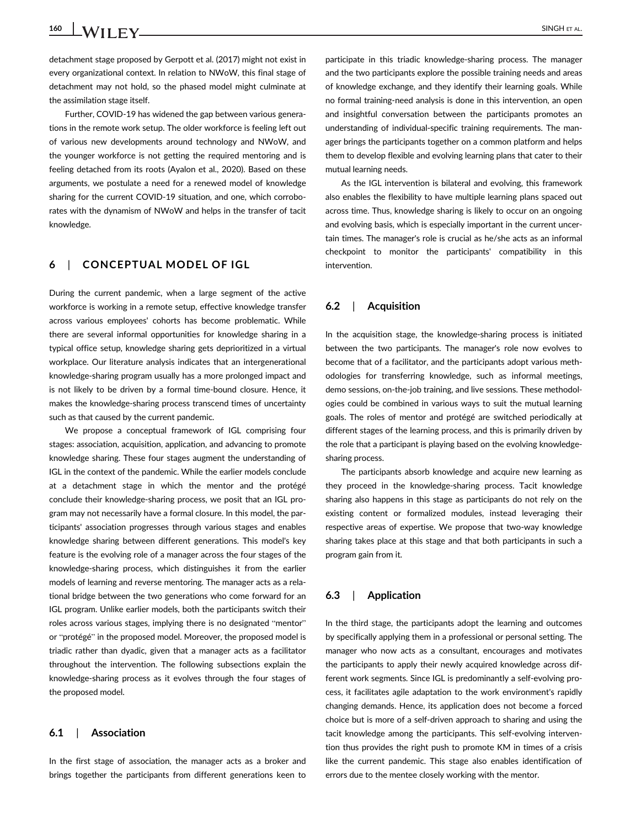160 SINGH ET AL.

detachment stage proposed by Gerpott et al. (2017) might not exist in every organizational context. In relation to NWoW, this final stage of detachment may not hold, so the phased model might culminate at the assimilation stage itself.

Further, COVID-19 has widened the gap between various generations in the remote work setup. The older workforce is feeling left out of various new developments around technology and NWoW, and the younger workforce is not getting the required mentoring and is feeling detached from its roots (Ayalon et al., 2020). Based on these arguments, we postulate a need for a renewed model of knowledge sharing for the current COVID-19 situation, and one, which corroborates with the dynamism of NWoW and helps in the transfer of tacit knowledge.

## 6 | CONCEPTUAL MODEL OF IGL

During the current pandemic, when a large segment of the active workforce is working in a remote setup, effective knowledge transfer across various employees' cohorts has become problematic. While there are several informal opportunities for knowledge sharing in a typical office setup, knowledge sharing gets deprioritized in a virtual workplace. Our literature analysis indicates that an intergenerational knowledge-sharing program usually has a more prolonged impact and is not likely to be driven by a formal time-bound closure. Hence, it makes the knowledge-sharing process transcend times of uncertainty such as that caused by the current pandemic.

We propose a conceptual framework of IGL comprising four stages: association, acquisition, application, and advancing to promote knowledge sharing. These four stages augment the understanding of IGL in the context of the pandemic. While the earlier models conclude at a detachment stage in which the mentor and the protégé conclude their knowledge-sharing process, we posit that an IGL program may not necessarily have a formal closure. In this model, the participants' association progresses through various stages and enables knowledge sharing between different generations. This model's key feature is the evolving role of a manager across the four stages of the knowledge-sharing process, which distinguishes it from the earlier models of learning and reverse mentoring. The manager acts as a relational bridge between the two generations who come forward for an IGL program. Unlike earlier models, both the participants switch their roles across various stages, implying there is no designated "mentor" or "protégé" in the proposed model. Moreover, the proposed model is triadic rather than dyadic, given that a manager acts as a facilitator throughout the intervention. The following subsections explain the knowledge-sharing process as it evolves through the four stages of the proposed model.

#### 6.1 | Association

In the first stage of association, the manager acts as a broker and brings together the participants from different generations keen to participate in this triadic knowledge-sharing process. The manager and the two participants explore the possible training needs and areas of knowledge exchange, and they identify their learning goals. While no formal training-need analysis is done in this intervention, an open and insightful conversation between the participants promotes an understanding of individual-specific training requirements. The manager brings the participants together on a common platform and helps them to develop flexible and evolving learning plans that cater to their mutual learning needs.

As the IGL intervention is bilateral and evolving, this framework also enables the flexibility to have multiple learning plans spaced out across time. Thus, knowledge sharing is likely to occur on an ongoing and evolving basis, which is especially important in the current uncertain times. The manager's role is crucial as he/she acts as an informal checkpoint to monitor the participants' compatibility in this intervention.

#### 6.2 | Acquisition

In the acquisition stage, the knowledge-sharing process is initiated between the two participants. The manager's role now evolves to become that of a facilitator, and the participants adopt various methodologies for transferring knowledge, such as informal meetings, demo sessions, on-the-job training, and live sessions. These methodologies could be combined in various ways to suit the mutual learning goals. The roles of mentor and protégé are switched periodically at different stages of the learning process, and this is primarily driven by the role that a participant is playing based on the evolving knowledgesharing process.

The participants absorb knowledge and acquire new learning as they proceed in the knowledge-sharing process. Tacit knowledge sharing also happens in this stage as participants do not rely on the existing content or formalized modules, instead leveraging their respective areas of expertise. We propose that two-way knowledge sharing takes place at this stage and that both participants in such a program gain from it.

#### 6.3 | Application

In the third stage, the participants adopt the learning and outcomes by specifically applying them in a professional or personal setting. The manager who now acts as a consultant, encourages and motivates the participants to apply their newly acquired knowledge across different work segments. Since IGL is predominantly a self-evolving process, it facilitates agile adaptation to the work environment's rapidly changing demands. Hence, its application does not become a forced choice but is more of a self-driven approach to sharing and using the tacit knowledge among the participants. This self-evolving intervention thus provides the right push to promote KM in times of a crisis like the current pandemic. This stage also enables identification of errors due to the mentee closely working with the mentor.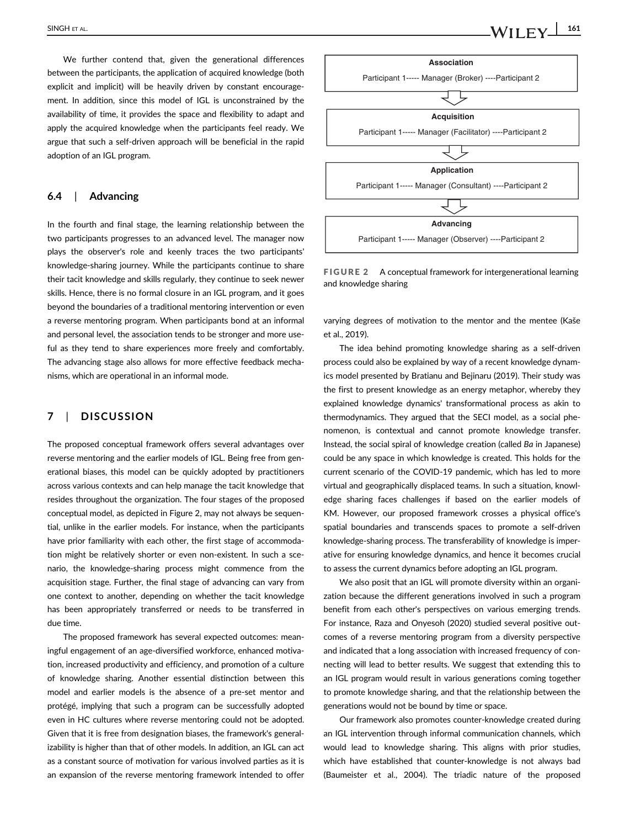We further contend that, given the generational differences between the participants, the application of acquired knowledge (both explicit and implicit) will be heavily driven by constant encouragement. In addition, since this model of IGL is unconstrained by the availability of time, it provides the space and flexibility to adapt and apply the acquired knowledge when the participants feel ready. We argue that such a self-driven approach will be beneficial in the rapid adoption of an IGL program.

#### 6.4 | Advancing

In the fourth and final stage, the learning relationship between the two participants progresses to an advanced level. The manager now plays the observer's role and keenly traces the two participants' knowledge-sharing journey. While the participants continue to share their tacit knowledge and skills regularly, they continue to seek newer skills. Hence, there is no formal closure in an IGL program, and it goes beyond the boundaries of a traditional mentoring intervention or even a reverse mentoring program. When participants bond at an informal and personal level, the association tends to be stronger and more useful as they tend to share experiences more freely and comfortably. The advancing stage also allows for more effective feedback mechanisms, which are operational in an informal mode.

## 7 | DISCUSSION

The proposed conceptual framework offers several advantages over reverse mentoring and the earlier models of IGL. Being free from generational biases, this model can be quickly adopted by practitioners across various contexts and can help manage the tacit knowledge that resides throughout the organization. The four stages of the proposed conceptual model, as depicted in Figure 2, may not always be sequential, unlike in the earlier models. For instance, when the participants have prior familiarity with each other, the first stage of accommodation might be relatively shorter or even non-existent. In such a scenario, the knowledge-sharing process might commence from the acquisition stage. Further, the final stage of advancing can vary from one context to another, depending on whether the tacit knowledge has been appropriately transferred or needs to be transferred in due time.

The proposed framework has several expected outcomes: meaningful engagement of an age-diversified workforce, enhanced motivation, increased productivity and efficiency, and promotion of a culture of knowledge sharing. Another essential distinction between this model and earlier models is the absence of a pre-set mentor and protégé, implying that such a program can be successfully adopted even in HC cultures where reverse mentoring could not be adopted. Given that it is free from designation biases, the framework's generalizability is higher than that of other models. In addition, an IGL can act as a constant source of motivation for various involved parties as it is an expansion of the reverse mentoring framework intended to offer

**Association**

Participant 1----- Manager (Broker) ----Participant 2



**Application**

Participant 1----- Manager (Consultant) ----Participant 2

**Advancing**

Participant 1----- Manager (Observer) ----Participant 2



varying degrees of motivation to the mentor and the mentee (Kaše et al., 2019).

The idea behind promoting knowledge sharing as a self-driven process could also be explained by way of a recent knowledge dynamics model presented by Bratianu and Bejinaru (2019). Their study was the first to present knowledge as an energy metaphor, whereby they explained knowledge dynamics' transformational process as akin to thermodynamics. They argued that the SECI model, as a social phenomenon, is contextual and cannot promote knowledge transfer. Instead, the social spiral of knowledge creation (called *Ba* in Japanese) could be any space in which knowledge is created. This holds for the current scenario of the COVID-19 pandemic, which has led to more virtual and geographically displaced teams. In such a situation, knowledge sharing faces challenges if based on the earlier models of KM. However, our proposed framework crosses a physical office's spatial boundaries and transcends spaces to promote a self-driven knowledge-sharing process. The transferability of knowledge is imperative for ensuring knowledge dynamics, and hence it becomes crucial to assess the current dynamics before adopting an IGL program.

We also posit that an IGL will promote diversity within an organization because the different generations involved in such a program benefit from each other's perspectives on various emerging trends. For instance, Raza and Onyesoh (2020) studied several positive outcomes of a reverse mentoring program from a diversity perspective and indicated that a long association with increased frequency of connecting will lead to better results. We suggest that extending this to an IGL program would result in various generations coming together to promote knowledge sharing, and that the relationship between the generations would not be bound by time or space.

Our framework also promotes counter-knowledge created during an IGL intervention through informal communication channels, which would lead to knowledge sharing. This aligns with prior studies, which have established that counter-knowledge is not always bad (Baumeister et al., 2004). The triadic nature of the proposed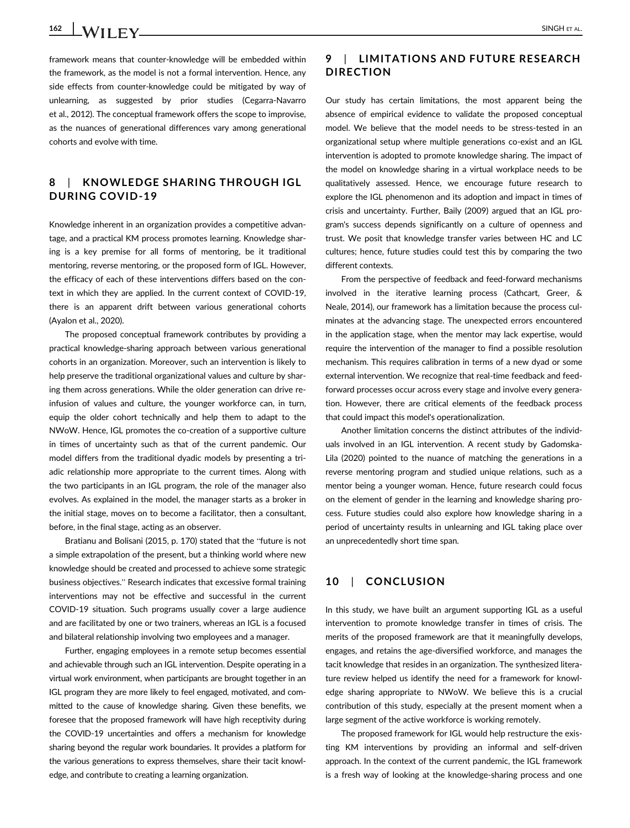framework means that counter-knowledge will be embedded within the framework, as the model is not a formal intervention. Hence, any side effects from counter-knowledge could be mitigated by way of unlearning, as suggested by prior studies (Cegarra-Navarro et al., 2012). The conceptual framework offers the scope to improvise, as the nuances of generational differences vary among generational cohorts and evolve with time.

## 8 | KNOWLEDGE SHARING THROUGH IGL DURING COVID-19

Knowledge inherent in an organization provides a competitive advantage, and a practical KM process promotes learning. Knowledge sharing is a key premise for all forms of mentoring, be it traditional mentoring, reverse mentoring, or the proposed form of IGL. However, the efficacy of each of these interventions differs based on the context in which they are applied. In the current context of COVID-19, there is an apparent drift between various generational cohorts (Ayalon et al., 2020).

The proposed conceptual framework contributes by providing a practical knowledge-sharing approach between various generational cohorts in an organization. Moreover, such an intervention is likely to help preserve the traditional organizational values and culture by sharing them across generations. While the older generation can drive reinfusion of values and culture, the younger workforce can, in turn, equip the older cohort technically and help them to adapt to the NWoW. Hence, IGL promotes the co-creation of a supportive culture in times of uncertainty such as that of the current pandemic. Our model differs from the traditional dyadic models by presenting a triadic relationship more appropriate to the current times. Along with the two participants in an IGL program, the role of the manager also evolves. As explained in the model, the manager starts as a broker in the initial stage, moves on to become a facilitator, then a consultant, before, in the final stage, acting as an observer.

Bratianu and Bolisani (2015, p. 170) stated that the "future is not a simple extrapolation of the present, but a thinking world where new knowledge should be created and processed to achieve some strategic business objectives." Research indicates that excessive formal training interventions may not be effective and successful in the current COVID-19 situation. Such programs usually cover a large audience and are facilitated by one or two trainers, whereas an IGL is a focused and bilateral relationship involving two employees and a manager.

Further, engaging employees in a remote setup becomes essential and achievable through such an IGL intervention. Despite operating in a virtual work environment, when participants are brought together in an IGL program they are more likely to feel engaged, motivated, and committed to the cause of knowledge sharing. Given these benefits, we foresee that the proposed framework will have high receptivity during the COVID-19 uncertainties and offers a mechanism for knowledge sharing beyond the regular work boundaries. It provides a platform for the various generations to express themselves, share their tacit knowledge, and contribute to creating a learning organization.

## 9 | LIMITATIONS AND FUTURE RESEARCH DIRECTION

Our study has certain limitations, the most apparent being the absence of empirical evidence to validate the proposed conceptual model. We believe that the model needs to be stress-tested in an organizational setup where multiple generations co-exist and an IGL intervention is adopted to promote knowledge sharing. The impact of the model on knowledge sharing in a virtual workplace needs to be qualitatively assessed. Hence, we encourage future research to explore the IGL phenomenon and its adoption and impact in times of crisis and uncertainty. Further, Baily (2009) argued that an IGL program's success depends significantly on a culture of openness and trust. We posit that knowledge transfer varies between HC and LC cultures; hence, future studies could test this by comparing the two different contexts.

From the perspective of feedback and feed-forward mechanisms involved in the iterative learning process (Cathcart, Greer, & Neale, 2014), our framework has a limitation because the process culminates at the advancing stage. The unexpected errors encountered in the application stage, when the mentor may lack expertise, would require the intervention of the manager to find a possible resolution mechanism. This requires calibration in terms of a new dyad or some external intervention. We recognize that real-time feedback and feedforward processes occur across every stage and involve every generation. However, there are critical elements of the feedback process that could impact this model's operationalization.

Another limitation concerns the distinct attributes of the individuals involved in an IGL intervention. A recent study by Gadomska-Lila (2020) pointed to the nuance of matching the generations in a reverse mentoring program and studied unique relations, such as a mentor being a younger woman. Hence, future research could focus on the element of gender in the learning and knowledge sharing process. Future studies could also explore how knowledge sharing in a period of uncertainty results in unlearning and IGL taking place over an unprecedentedly short time span.

#### 10 | CONCLUSION

In this study, we have built an argument supporting IGL as a useful intervention to promote knowledge transfer in times of crisis. The merits of the proposed framework are that it meaningfully develops, engages, and retains the age-diversified workforce, and manages the tacit knowledge that resides in an organization. The synthesized literature review helped us identify the need for a framework for knowledge sharing appropriate to NWoW. We believe this is a crucial contribution of this study, especially at the present moment when a large segment of the active workforce is working remotely.

The proposed framework for IGL would help restructure the existing KM interventions by providing an informal and self-driven approach. In the context of the current pandemic, the IGL framework is a fresh way of looking at the knowledge-sharing process and one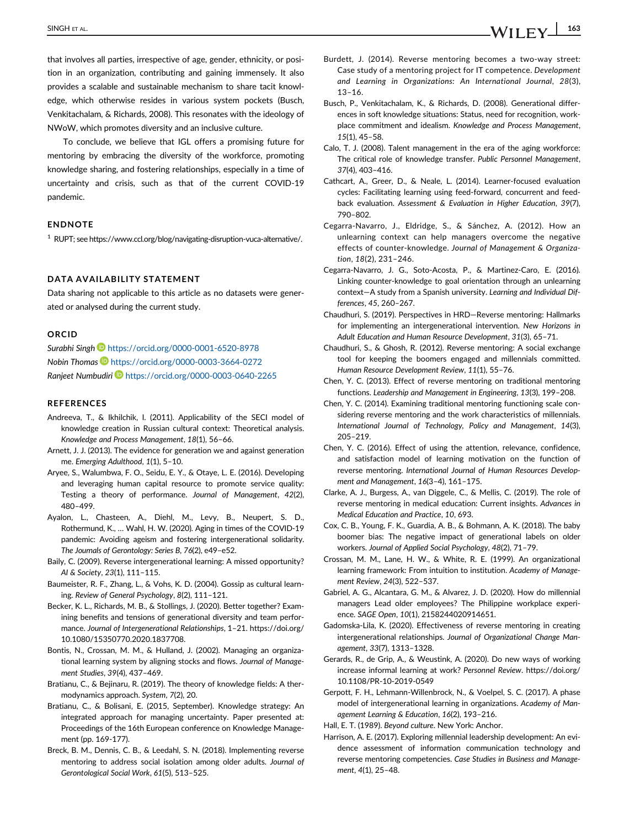that involves all parties, irrespective of age, gender, ethnicity, or position in an organization, contributing and gaining immensely. It also provides a scalable and sustainable mechanism to share tacit knowledge, which otherwise resides in various system pockets (Busch, Venkitachalam, & Richards, 2008). This resonates with the ideology of NWoW, which promotes diversity and an inclusive culture.

To conclude, we believe that IGL offers a promising future for mentoring by embracing the diversity of the workforce, promoting knowledge sharing, and fostering relationships, especially in a time of uncertainty and crisis, such as that of the current COVID-19 pandemic.

#### ENDNOTE

<sup>1</sup> RUPT; see https://www.ccl.org/blog/navigating-disruption-vuca-alternative/.

#### DATA AVAILABILITY STATEMENT

Data sharing not applicable to this article as no datasets were generated or analysed during the current study.

#### ORCID

*Surabhi Singh* https://orcid.org/0000-0001-6520-8978 *Nobin Thomas* https://orcid.org/0000-0003-3664-0272 *Ranjeet Numbudiri* https://orcid.org/0000-0003-0640-2265

#### **REFERENCES**

- Andreeva, T., & Ikhilchik, I. (2011). Applicability of the SECI model of knowledge creation in Russian cultural context: Theoretical analysis. *Knowledge and Process Management*, *18*(1), 56–66.
- Arnett, J. J. (2013). The evidence for generation we and against generation me. *Emerging Adulthood*, *1*(1), 5–10.
- Aryee, S., Walumbwa, F. O., Seidu, E. Y., & Otaye, L. E. (2016). Developing and leveraging human capital resource to promote service quality: Testing a theory of performance. *Journal of Management*, *42*(2), 480–499.
- Ayalon, L., Chasteen, A., Diehl, M., Levy, B., Neupert, S. D., Rothermund, K., … Wahl, H. W. (2020). Aging in times of the COVID-19 pandemic: Avoiding ageism and fostering intergenerational solidarity. *The Journals of Gerontology: Series B*, *76*(2), e49–e52.
- Baily, C. (2009). Reverse intergenerational learning: A missed opportunity? *AI & Society*, *23*(1), 111–115.
- Baumeister, R. F., Zhang, L., & Vohs, K. D. (2004). Gossip as cultural learning. *Review of General Psychology*, *8*(2), 111–121.
- Becker, K. L., Richards, M. B., & Stollings, J. (2020). Better together? Examining benefits and tensions of generational diversity and team performance. *Journal of Intergenerational Relationships*, 1–21. https://doi.org/ 10.1080/15350770.2020.1837708.
- Bontis, N., Crossan, M. M., & Hulland, J. (2002). Managing an organizational learning system by aligning stocks and flows. *Journal of Management Studies*, *39*(4), 437–469.
- Bratianu, C., & Bejinaru, R. (2019). The theory of knowledge fields: A thermodynamics approach. *System*, *7*(2), 20.
- Bratianu, C., & Bolisani, E. (2015, September). Knowledge strategy: An integrated approach for managing uncertainty. Paper presented at: Proceedings of the 16th European conference on Knowledge Management (pp. 169-177).
- Breck, B. M., Dennis, C. B., & Leedahl, S. N. (2018). Implementing reverse mentoring to address social isolation among older adults. *Journal of Gerontological Social Work*, *61*(5), 513–525.
- Burdett, J. (2014). Reverse mentoring becomes a two-way street: Case study of a mentoring project for IT competence. *Development and Learning in Organizations: An International Journal*, *28*(3), 13–16.
- Busch, P., Venkitachalam, K., & Richards, D. (2008). Generational differences in soft knowledge situations: Status, need for recognition, workplace commitment and idealism. *Knowledge and Process Management*, *15*(1), 45–58.
- Calo, T. J. (2008). Talent management in the era of the aging workforce: The critical role of knowledge transfer. *Public Personnel Management*, *37*(4), 403–416.
- Cathcart, A., Greer, D., & Neale, L. (2014). Learner-focused evaluation cycles: Facilitating learning using feed-forward, concurrent and feedback evaluation. *Assessment & Evaluation in Higher Education*, *39*(7), 790–802.
- Cegarra-Navarro, J., Eldridge, S., & Sánchez, A. (2012). How an unlearning context can help managers overcome the negative effects of counter-knowledge. *Journal of Management & Organization*, *18*(2), 231–246.
- Cegarra-Navarro, J. G., Soto-Acosta, P., & Martinez-Caro, E. (2016). Linking counter-knowledge to goal orientation through an unlearning context—A study from a Spanish university. *Learning and Individual Differences*, *45*, 260–267.
- Chaudhuri, S. (2019). Perspectives in HRD—Reverse mentoring: Hallmarks for implementing an intergenerational intervention. *New Horizons in Adult Education and Human Resource Development*, *31*(3), 65–71.
- Chaudhuri, S., & Ghosh, R. (2012). Reverse mentoring: A social exchange tool for keeping the boomers engaged and millennials committed. *Human Resource Development Review*, *11*(1), 55–76.
- Chen, Y. C. (2013). Effect of reverse mentoring on traditional mentoring functions. *Leadership and Management in Engineering*, *13*(3), 199–208.
- Chen, Y. C. (2014). Examining traditional mentoring functioning scale considering reverse mentoring and the work characteristics of millennials. *International Journal of Technology, Policy and Management*, *14*(3), 205–219.
- Chen, Y. C. (2016). Effect of using the attention, relevance, confidence, and satisfaction model of learning motivation on the function of reverse mentoring. *International Journal of Human Resources Development and Management*, *16*(3–4), 161–175.
- Clarke, A. J., Burgess, A., van Diggele, C., & Mellis, C. (2019). The role of reverse mentoring in medical education: Current insights. *Advances in Medical Education and Practice*, *10*, 693.
- Cox, C. B., Young, F. K., Guardia, A. B., & Bohmann, A. K. (2018). The baby boomer bias: The negative impact of generational labels on older workers. *Journal of Applied Social Psychology*, *48*(2), 71–79.
- Crossan, M. M., Lane, H. W., & White, R. E. (1999). An organizational learning framework: From intuition to institution. *Academy of Management Review*, *24*(3), 522–537.
- Gabriel, A. G., Alcantara, G. M., & Alvarez, J. D. (2020). How do millennial managers Lead older employees? The Philippine workplace experience. *SAGE Open*, *10*(1), 2158244020914651.
- Gadomska-Lila, K. (2020). Effectiveness of reverse mentoring in creating intergenerational relationships. *Journal of Organizational Change Management*, *33*(7), 1313–1328.
- Gerards, R., de Grip, A., & Weustink, A. (2020). Do new ways of working increase informal learning at work? *Personnel Review*. https://doi.org/ 10.1108/PR-10-2019-0549
- Gerpott, F. H., Lehmann-Willenbrock, N., & Voelpel, S. C. (2017). A phase model of intergenerational learning in organizations. *Academy of Management Learning & Education*, *16*(2), 193–216.
- Hall, E. T. (1989). *Beyond culture*. New York: Anchor.
- Harrison, A. E. (2017). Exploring millennial leadership development: An evidence assessment of information communication technology and reverse mentoring competencies. *Case Studies in Business and Management*, *4*(1), 25–48.